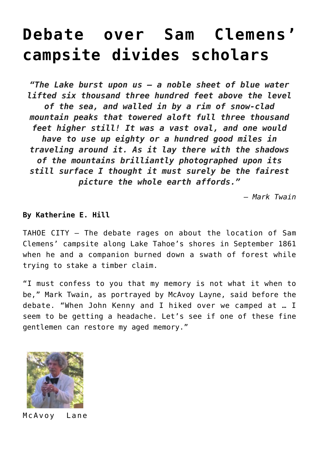## **[Debate over Sam Clemens'](https://www.laketahoenews.net/2012/06/debate-over-sam-clemens-campsite-divides-scholars/) [campsite divides scholars](https://www.laketahoenews.net/2012/06/debate-over-sam-clemens-campsite-divides-scholars/)**

*"The Lake burst upon us – a noble sheet of blue water lifted six thousand three hundred feet above the level of the sea, and walled in by a rim of snow-clad mountain peaks that towered aloft full three thousand feet higher still! It was a vast oval, and one would have to use up eighty or a hundred good miles in traveling around it. As it lay there with the shadows of the mountains brilliantly photographed upon its still surface I thought it must surely be the fairest picture the whole earth affords."*

*– Mark Twain*

## **By Katherine E. Hill**

TAHOE CITY – The debate rages on about the location of Sam Clemens' campsite along Lake Tahoe's shores in September 1861 when he and a companion burned down a swath of forest while trying to stake a timber claim.

"I must confess to you that my memory is not what it when to be," Mark Twain, as portrayed by McAvoy Layne, said before the debate. "When John Kenny and I hiked over we camped at … I seem to be getting a headache. Let's see if one of these fine gentlemen can restore my aged memory."



McAvoy Lane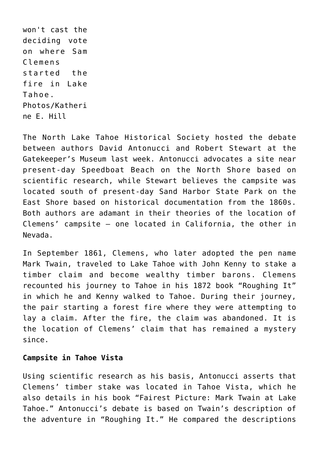won't cast the deciding vote on where Sam Clemens started the fire in Lake Tahoe. Photos/Katheri ne E. Hill

The North Lake Tahoe Historical Society hosted the debate between authors David Antonucci and Robert Stewart at the Gatekeeper's Museum last week. Antonucci advocates a site near present-day Speedboat Beach on the North Shore based on scientific research, while Stewart believes the campsite was located south of present-day Sand Harbor State Park on the East Shore based on historical documentation from the 1860s. Both authors are adamant in their theories of the location of Clemens' campsite – one located in California, the other in Nevada.

In September 1861, Clemens, who later adopted the pen name Mark Twain, traveled to Lake Tahoe with John Kenny to stake a timber claim and become wealthy timber barons. Clemens recounted his journey to Tahoe in his 1872 book "Roughing It" in which he and Kenny walked to Tahoe. During their journey, the pair starting a forest fire where they were attempting to lay a claim. After the fire, the claim was abandoned. It is the location of Clemens' claim that has remained a mystery since.

## **Campsite in Tahoe Vista**

Using scientific research as his basis, Antonucci asserts that Clemens' timber stake was located in Tahoe Vista, which he also details in his book "Fairest Picture: Mark Twain at Lake Tahoe." Antonucci's debate is based on Twain's description of the adventure in "Roughing It." He compared the descriptions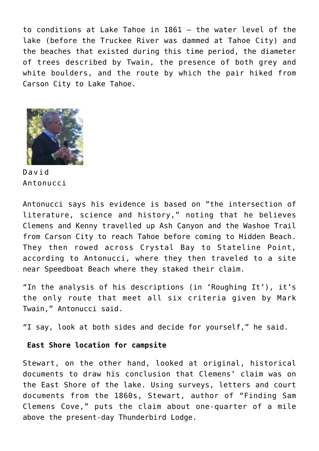to conditions at Lake Tahoe in 1861 – the water level of the lake (before the Truckee River was dammed at Tahoe City) and the beaches that existed during this time period, the diameter of trees described by Twain, the presence of both grey and white boulders, and the route by which the pair hiked from Carson City to Lake Tahoe.



David Antonucci

Antonucci says his evidence is based on "the intersection of literature, science and history," noting that he believes Clemens and Kenny travelled up Ash Canyon and the Washoe Trail from Carson City to reach Tahoe before coming to Hidden Beach. They then rowed across Crystal Bay to Stateline Point, according to Antonucci, where they then traveled to a site near Speedboat Beach where they staked their claim.

"In the analysis of his descriptions (in 'Roughing It'), it's the only route that meet all six criteria given by Mark Twain," Antonucci said.

"I say, look at both sides and decide for yourself," he said.

## **East Shore location for campsite**

Stewart, on the other hand, looked at original, historical documents to draw his conclusion that Clemens' claim was on the East Shore of the lake. Using surveys, letters and court documents from the 1860s, Stewart, author of "Finding Sam Clemens Cove," puts the claim about one-quarter of a mile above the present-day Thunderbird Lodge.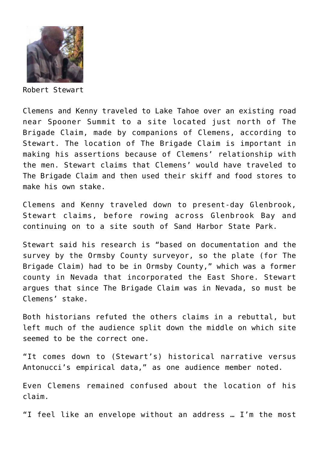

Robert Stewart

Clemens and Kenny traveled to Lake Tahoe over an existing road near Spooner Summit to a site located just north of The Brigade Claim, made by companions of Clemens, according to Stewart. The location of The Brigade Claim is important in making his assertions because of Clemens' relationship with the men. Stewart claims that Clemens' would have traveled to The Brigade Claim and then used their skiff and food stores to make his own stake.

Clemens and Kenny traveled down to present-day Glenbrook, Stewart claims, before rowing across Glenbrook Bay and continuing on to a site south of Sand Harbor State Park.

Stewart said his research is "based on documentation and the survey by the Ormsby County surveyor, so the plate (for The Brigade Claim) had to be in Ormsby County," which was a former county in Nevada that incorporated the East Shore. Stewart argues that since The Brigade Claim was in Nevada, so must be Clemens' stake.

Both historians refuted the others claims in a rebuttal, but left much of the audience split down the middle on which site seemed to be the correct one.

"It comes down to (Stewart's) historical narrative versus Antonucci's empirical data," as one audience member noted.

Even Clemens remained confused about the location of his claim.

"I feel like an envelope without an address … I'm the most